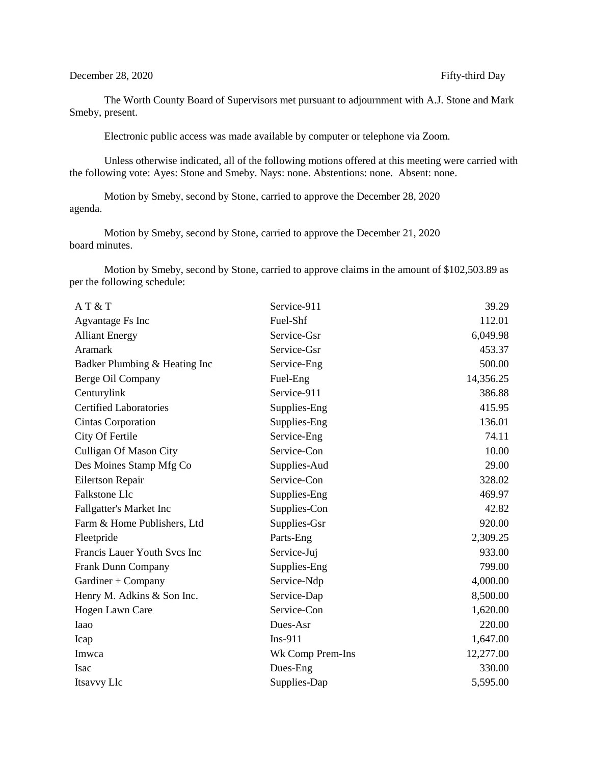The Worth County Board of Supervisors met pursuant to adjournment with A.J. Stone and Mark Smeby, present.

Electronic public access was made available by computer or telephone via Zoom.

Unless otherwise indicated, all of the following motions offered at this meeting were carried with the following vote: Ayes: Stone and Smeby. Nays: none. Abstentions: none. Absent: none.

Motion by Smeby, second by Stone, carried to approve the December 28, 2020 agenda.

Motion by Smeby, second by Stone, carried to approve the December 21, 2020 board minutes.

Motion by Smeby, second by Stone, carried to approve claims in the amount of \$102,503.89 as per the following schedule:

| AT & T                         | Service-911      | 39.29     |
|--------------------------------|------------------|-----------|
| Agvantage Fs Inc               | Fuel-Shf         | 112.01    |
| <b>Alliant Energy</b>          | Service-Gsr      | 6,049.98  |
| <b>Aramark</b>                 | Service-Gsr      | 453.37    |
| Badker Plumbing & Heating Inc  | Service-Eng      | 500.00    |
| Berge Oil Company              | Fuel-Eng         | 14,356.25 |
| Centurylink                    | Service-911      | 386.88    |
| <b>Certified Laboratories</b>  | Supplies-Eng     | 415.95    |
| Cintas Corporation             | Supplies-Eng     | 136.01    |
| City Of Fertile                | Service-Eng      | 74.11     |
| <b>Culligan Of Mason City</b>  | Service-Con      | 10.00     |
| Des Moines Stamp Mfg Co        | Supplies-Aud     | 29.00     |
| Eilertson Repair               | Service-Con      | 328.02    |
| Falkstone Llc                  | Supplies-Eng     | 469.97    |
| <b>Fallgatter's Market Inc</b> | Supplies-Con     | 42.82     |
| Farm & Home Publishers, Ltd    | Supplies-Gsr     | 920.00    |
| Fleetpride                     | Parts-Eng        | 2,309.25  |
| Francis Lauer Youth Svcs Inc   | Service-Juj      | 933.00    |
| Frank Dunn Company             | Supplies-Eng     | 799.00    |
| Gardiner + Company             | Service-Ndp      | 4,000.00  |
| Henry M. Adkins & Son Inc.     | Service-Dap      | 8,500.00  |
| Hogen Lawn Care                | Service-Con      | 1,620.00  |
| Iaao                           | Dues-Asr         | 220.00    |
| Icap                           | $Ins-911$        | 1,647.00  |
| Imwca                          | Wk Comp Prem-Ins | 12,277.00 |
| Isac                           | Dues-Eng         | 330.00    |
| Itsavvy Llc                    | Supplies-Dap     | 5,595.00  |